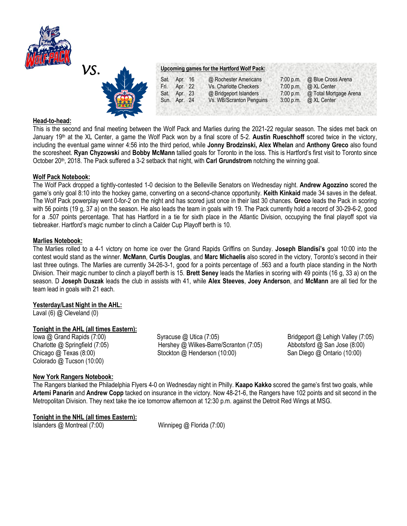



# **Head-to-head:**

This is the second and final meeting between the Wolf Pack and Marlies during the 2021-22 regular season. The sides met back on January 19th at the XL Center, a game the Wolf Pack won by a final score of 5-2. **Austin Rueschhoff** scored twice in the victory, including the eventual game winner 4:56 into the third period, while **Jonny Brodzinski, Alex Whelan** and **Anthony Greco** also found the scoresheet. **Ryan Chyzowski** and **Bobby McMann** tallied goals for Toronto in the loss. This is Hartford's first visit to Toronto since October 20th, 2018. The Pack suffered a 3-2 setback that night, with **Carl Grundstrom** notching the winning goal.

## **Wolf Pack Notebook:**

The Wolf Pack dropped a tightly-contested 1-0 decision to the Belleville Senators on Wednesday night. **Andrew Agozzino** scored the game's only goal 8:10 into the hockey game, converting on a second-chance opportunity. **Keith Kinkaid** made 34 saves in the defeat. The Wolf Pack powerplay went 0-for-2 on the night and has scored just once in their last 30 chances. **Greco** leads the Pack in scoring with 56 points (19 g, 37 a) on the season. He also leads the team in goals with 19. The Pack currently hold a record of 30-29-6-2, good for a .507 points percentage. That has Hartford in a tie for sixth place in the Atlantic Division, occupying the final playoff spot via tiebreaker. Hartford's magic number to clinch a Calder Cup Playoff berth is 10.

## **Marlies Notebook:**

The Marlies rolled to a 4-1 victory on home ice over the Grand Rapids Griffins on Sunday. **Joseph Blandisi's** goal 10:00 into the contest would stand as the winner. **McMann**, **Curtis Douglas**, and **Marc Michaelis** also scored in the victory, Toronto's second in their last three outings. The Marlies are currently 34-26-3-1, good for a points percentage of .563 and a fourth place standing in the North Division. Their magic number to clinch a playoff berth is 15. **Brett Seney** leads the Marlies in scoring with 49 points (16 g, 33 a) on the season. D **Joseph Duszak** leads the club in assists with 41, while **Alex Steeves**, **Joey Anderson**, and **McMann** are all tied for the team lead in goals with 21 each.

## **Yesterday/Last Night in the AHL:**

Laval (6) @ Cleveland (0)

## **Tonight in the AHL (all times Eastern):**

Colorado @ Tucson (10:00)

Iowa @ Grand Rapids (7:00) Syracuse @ Utica (7:05) Spracuse @ Utica (7:05) Bridgeport @ Lehigh Valley (7:05) Charlotte @ Springfield (7:05) Hershey @ Wilkes-Barre/Scranton (7:05) Abbotsford @ San Jose (8:00) Chicago @ Texas (8:00) Stockton @ Henderson (10:00) San Diego @ Ontario (10:00)

## **New York Rangers Notebook:**

The Rangers blanked the Philadelphia Flyers 4-0 on Wednesday night in Philly. **Kaapo Kakko** scored the game's first two goals, while **Artemi Panarin** and **Andrew Copp** tacked on insurance in the victory. Now 48-21-6, the Rangers have 102 points and sit second in the Metropolitan Division. They next take the ice tomorrow afternoon at 12:30 p.m. against the Detroit Red Wings at MSG.

## **Tonight in the NHL (all times Eastern):**

Islanders @ Montreal (7:00) Winnipeg @ Florida (7:00)